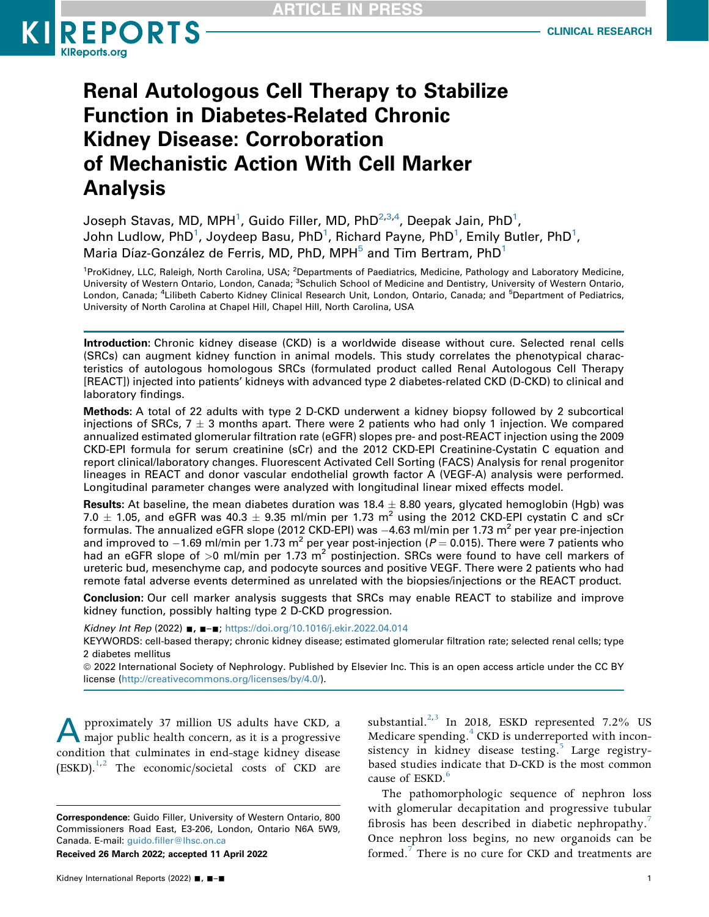

# Renal Autologous Cell Therapy to Stabilize Function in Diabetes-Related Chronic Kidney Disease: Corroboration of Mechanistic Action With Cell Marker Analysis

Joseph Stavas, MD, MPH $^1$  $^1$ , Guido Filler, MD, PhD $^{2,3,4}$  $^{2,3,4}$  $^{2,3,4}$  $^{2,3,4}$  $^{2,3,4}$ , Deepak Jain, PhD $^1$ , John Ludlow, PhD $^1$  $^1$ , Joydeep Basu, PhD $^1$ , Richard Payne, PhD $^1$ , Emily Butler, PhD $^1$ , Maria Díaz-González de Ferris, MD, PhD, MPH $<sup>5</sup>$  $<sup>5</sup>$  $<sup>5</sup>$  and Tim Bertram, PhD<sup>[1](#page-0-0)</sup></sup>

<span id="page-0-2"></span><span id="page-0-1"></span><span id="page-0-0"></span><sup>1</sup> ProKidney, LLC, Raleigh, North Carolina, USA; <sup>2</sup> Departments of Paediatrics, Medicine, Pathology and Laboratory Medicine, University of Western Ontario, London, Canada; <sup>3</sup>Schulich School of Medicine and Dentistry, University of Western Ontario, London, Canada; <sup>4</sup>Lilibeth Caberto Kidney Clinical Research Unit, London, Ontario, Canada; and <sup>5</sup>Department of Pediatrics, University of North Carolina at Chapel Hill, Chapel Hill, North Carolina, USA

Introduction: Chronic kidney disease (CKD) is a worldwide disease without cure. Selected renal cells (SRCs) can augment kidney function in animal models. This study correlates the phenotypical characteristics of autologous homologous SRCs (formulated product called Renal Autologous Cell Therapy [REACT]) injected into patients' kidneys with advanced type 2 diabetes-related CKD (D-CKD) to clinical and laboratory findings.

Methods: A total of 22 adults with type 2 D-CKD underwent a kidney biopsy followed by 2 subcortical injections of SRCs,  $7 \pm 3$  months apart. There were 2 patients who had only 1 injection. We compared annualized estimated glomerular filtration rate (eGFR) slopes pre- and post-REACT injection using the 2009 CKD-EPI formula for serum creatinine (sCr) and the 2012 CKD-EPI Creatinine-Cystatin C equation and report clinical/laboratory changes. Fluorescent Activated Cell Sorting (FACS) Analysis for renal progenitor lineages in REACT and donor vascular endothelial growth factor A (VEGF-A) analysis were performed. Longitudinal parameter changes were analyzed with longitudinal linear mixed effects model.

**Results:** At baseline, the mean diabetes duration was  $18.4 \pm 8.80$  years, glycated hemoglobin (Hgb) was 7.0  $\pm$  1.05, and eGFR was 40.3  $\pm$  9.35 ml/min per 1.73 m<sup>2</sup> using the 2012 CKD-EPI cystatin C and sCr formulas. The annualized eGFR slope (2012 CKD-EPI) was  $-4.63$  ml/min per 1.73 m<sup>2</sup> per year pre-injection and improved to  $-1.69$  ml/min per 1.73 m<sup>2</sup> per year post-injection ( $P = 0.015$ ). There were 7 patients who had an eGFR slope of  $>0$  ml/min per 1.73 m<sup>2</sup> postinjection. SRCs were found to have cell markers of ureteric bud, mesenchyme cap, and podocyte sources and positive VEGF. There were 2 patients who had remote fatal adverse events determined as unrelated with the biopsies/injections or the REACT product.

Conclusion: Our cell marker analysis suggests that SRCs may enable REACT to stabilize and improve kidney function, possibly halting type 2 D-CKD progression.

Kidney Int Rep (2022) ■, ■-■; <https://doi.org/10.1016/j.ekir.2022.04.014>

KEYWORDS: cell-based therapy; chronic kidney disease; estimated glomerular filtration rate; selected renal cells; type 2 diabetes mellitus

ª 2022 International Society of Nephrology. Published by Elsevier Inc. This is an open access article under the CC BY license [\(http://creativecommons.org/licenses/by/4.0/\)](http://creativecommons.org/licenses/by/4.0/).

pproximately 37 million US adults have CKD, a major public health concern, as it is a progressive condition that culminates in end-stage kidney disease  $(ESKD)$ ,  $^{1,2}$  $^{1,2}$  $^{1,2}$  $^{1,2}$  The economic/societal costs of CKD are

Received 26 March 2022; accepted 11 April 2022

substantial.<sup>[2,](#page-8-1)[3](#page-8-2)</sup> In 2018, ESKD represented 7.2% US Medicare spending. $4$  CKD is underreported with inconsistency in kidney disease testing.<sup>5</sup> Large registrybased studies indicate that D-CKD is the most common cause of ESKD.<sup>[6](#page-8-5)</sup>

<span id="page-0-3"></span>The pathomorphologic sequence of nephron loss with glomerular decapitation and progressive tubular fibrosis has been described in diabetic nephropathy.<sup>7</sup> Once nephron loss begins, no new organoids can be formed.<sup>7</sup> There is no cure for CKD and treatments are

Correspondence: Guido Filler, University of Western Ontario, 800 Commissioners Road East, E3-206, London, Ontario N6A 5W9, Canada. E-mail: guido.fi[ller@lhsc.on.ca](mailto:guido.filler@lhsc.on.ca)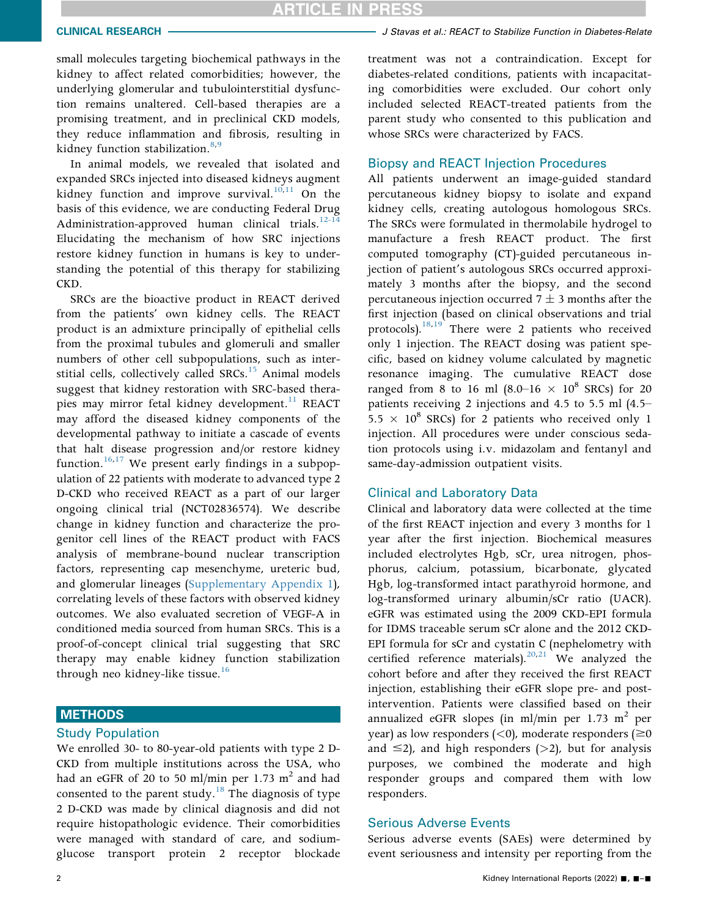small molecules targeting biochemical pathways in the kidney to affect related comorbidities; however, the underlying glomerular and tubulointerstitial dysfunction remains unaltered. Cell-based therapies are a promising treatment, and in preclinical CKD models, they reduce inflammation and fibrosis, resulting in kidney function stabilization.<sup>[8](#page-8-7),[9](#page-8-8)</sup>

In animal models, we revealed that isolated and expanded SRCs injected into diseased kidneys augment kidney function and improve survival.<sup>[10](#page-8-9)[,11](#page-8-10)</sup> On the basis of this evidence, we are conducting Federal Drug Administration-approved human clinical trials. $12-14$ Elucidating the mechanism of how SRC injections restore kidney function in humans is key to understanding the potential of this therapy for stabilizing CKD.

SRCs are the bioactive product in REACT derived from the patients' own kidney cells. The REACT product is an admixture principally of epithelial cells from the proximal tubules and glomeruli and smaller numbers of other cell subpopulations, such as inter-stitial cells, collectively called SRCs.<sup>[15](#page-8-12)</sup> Animal models suggest that kidney restoration with SRC-based thera-pies may mirror fetal kidney development.<sup>[11](#page-8-10)</sup> REACT may afford the diseased kidney components of the developmental pathway to initiate a cascade of events that halt disease progression and/or restore kidney function.<sup>[16](#page-8-13)[,17](#page-8-14)</sup> We present early findings in a subpopulation of 22 patients with moderate to advanced type 2 D-CKD who received REACT as a part of our larger ongoing clinical trial (NCT02836574). We describe change in kidney function and characterize the progenitor cell lines of the REACT product with FACS analysis of membrane-bound nuclear transcription factors, representing cap mesenchyme, ureteric bud, and glomerular lineages [\(Supplementary Appendix 1\)](#page-0-3), correlating levels of these factors with observed kidney outcomes. We also evaluated secretion of VEGF-A in conditioned media sourced from human SRCs. This is a proof-of-concept clinical trial suggesting that SRC therapy may enable kidney function stabilization through neo kidney-like tissue.<sup>[16](#page-8-13)</sup>

# **METHODS**

#### Study Population

We enrolled 30- to 80-year-old patients with type 2 D-CKD from multiple institutions across the USA, who had an eGFR of 20 to 50 ml/min per 1.73  $m<sup>2</sup>$  and had consented to the parent study.<sup>18</sup> The diagnosis of type 2 D-CKD was made by clinical diagnosis and did not require histopathologic evidence. Their comorbidities were managed with standard of care, and sodiumglucose transport protein 2 receptor blockade treatment was not a contraindication. Except for diabetes-related conditions, patients with incapacitating comorbidities were excluded. Our cohort only included selected REACT-treated patients from the parent study who consented to this publication and whose SRCs were characterized by FACS.

#### Biopsy and REACT Injection Procedures

All patients underwent an image-guided standard percutaneous kidney biopsy to isolate and expand kidney cells, creating autologous homologous SRCs. The SRCs were formulated in thermolabile hydrogel to manufacture a fresh REACT product. The first computed tomography (CT)-guided percutaneous injection of patient's autologous SRCs occurred approximately 3 months after the biopsy, and the second percutaneous injection occurred  $7 \pm 3$  months after the first injection (based on clinical observations and trial protocols).<sup>18[,19](#page-9-1)</sup> There were 2 patients who received only 1 injection. The REACT dosing was patient specific, based on kidney volume calculated by magnetic resonance imaging. The cumulative REACT dose ranged from 8 to 16 ml  $(8.0-16 \times 10^8 \text{ SRCs})$  for 20 patients receiving 2 injections and 4.5 to 5.5 ml (4.5–  $5.5 \times 10^8$  SRCs) for 2 patients who received only 1 injection. All procedures were under conscious sedation protocols using i.v. midazolam and fentanyl and same-day-admission outpatient visits.

# Clinical and Laboratory Data

Clinical and laboratory data were collected at the time of the first REACT injection and every 3 months for 1 year after the first injection. Biochemical measures included electrolytes Hgb, sCr, urea nitrogen, phosphorus, calcium, potassium, bicarbonate, glycated Hgb, log-transformed intact parathyroid hormone, and log-transformed urinary albumin/sCr ratio (UACR). eGFR was estimated using the 2009 CKD-EPI formula for IDMS traceable serum sCr alone and the 2012 CKD-EPI formula for sCr and cystatin C (nephelometry with certified reference materials).<sup>[20,](#page-9-2)[21](#page-9-3)</sup> We analyzed the cohort before and after they received the first REACT injection, establishing their eGFR slope pre- and postintervention. Patients were classified based on their annualized eGFR slopes (in ml/min per 1.73 m<sup>2</sup> per year) as low responders  $(<$ 0), moderate responders ( $\geq$ 0 and  $\leq$ 2), and high responders (>2), but for analysis purposes, we combined the moderate and high responder groups and compared them with low responders.

#### Serious Adverse Events

Serious adverse events (SAEs) were determined by event seriousness and intensity per reporting from the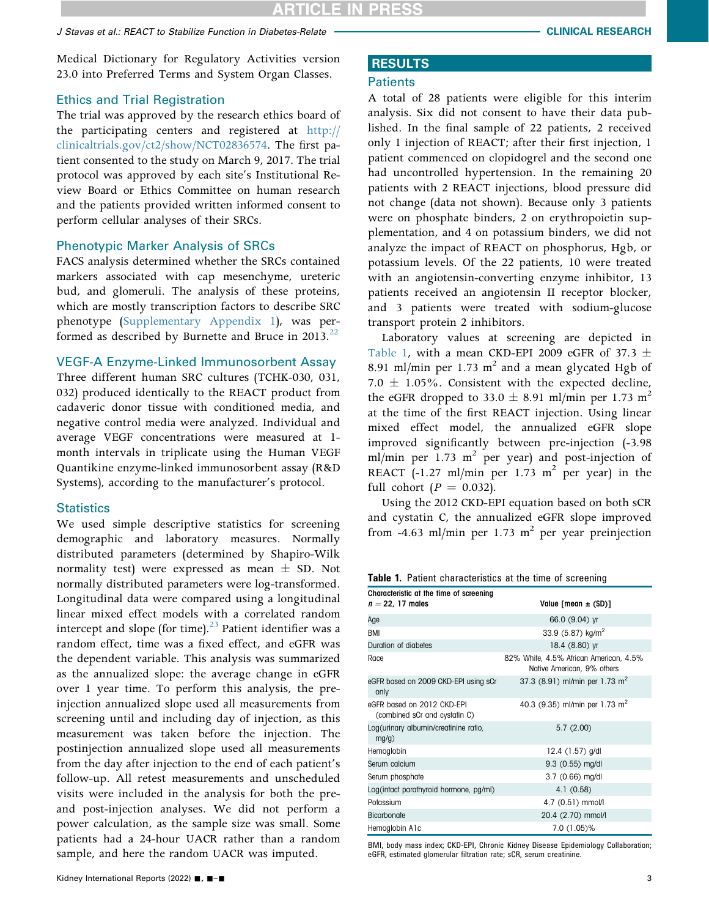Medical Dictionary for Regulatory Activities version 23.0 into Preferred Terms and System Organ Classes.

# Ethics and Trial Registration

The trial was approved by the research ethics board of the participating centers and registered at [http://](http://clinicaltrials.gov/ct2/show/NCT02836574) [clinicaltrials.gov/ct2/show/NCT02836574.](http://clinicaltrials.gov/ct2/show/NCT02836574) The first patient consented to the study on March 9, 2017. The trial protocol was approved by each site's Institutional Review Board or Ethics Committee on human research and the patients provided written informed consent to perform cellular analyses of their SRCs.

# Phenotypic Marker Analysis of SRCs

FACS analysis determined whether the SRCs contained markers associated with cap mesenchyme, ureteric bud, and glomeruli. The analysis of these proteins, which are mostly transcription factors to describe SRC phenotype ([Supplementary Appendix 1](#page-0-3)), was performed as described by Burnette and Bruce in 2013. $^{22}$  $^{22}$  $^{22}$ 

# VEGF-A Enzyme-Linked Immunosorbent Assay

Three different human SRC cultures (TCHK-030, 031, 032) produced identically to the REACT product from cadaveric donor tissue with conditioned media, and negative control media were analyzed. Individual and average VEGF concentrations were measured at 1 month intervals in triplicate using the Human VEGF Quantikine enzyme-linked immunosorbent assay (R&D Systems), according to the manufacturer's protocol.

# **Statistics**

We used simple descriptive statistics for screening demographic and laboratory measures. Normally distributed parameters (determined by Shapiro-Wilk normality test) were expressed as mean  $\pm$  SD. Not normally distributed parameters were log-transformed. Longitudinal data were compared using a longitudinal linear mixed effect models with a correlated random intercept and slope (for time). $^{23}$  $^{23}$  $^{23}$  Patient identifier was a random effect, time was a fixed effect, and eGFR was the dependent variable. This analysis was summarized as the annualized slope: the average change in eGFR over 1 year time. To perform this analysis, the preinjection annualized slope used all measurements from screening until and including day of injection, as this measurement was taken before the injection. The postinjection annualized slope used all measurements from the day after injection to the end of each patient's follow-up. All retest measurements and unscheduled visits were included in the analysis for both the preand post-injection analyses. We did not perform a power calculation, as the sample size was small. Some patients had a 24-hour UACR rather than a random sample, and here the random UACR was imputed.

### **Patients**

A total of 28 patients were eligible for this interim analysis. Six did not consent to have their data published. In the final sample of 22 patients, 2 received only 1 injection of REACT; after their first injection, 1 patient commenced on clopidogrel and the second one had uncontrolled hypertension. In the remaining 20 patients with 2 REACT injections, blood pressure did not change (data not shown). Because only 3 patients were on phosphate binders, 2 on erythropoietin supplementation, and 4 on potassium binders, we did not analyze the impact of REACT on phosphorus, Hgb, or potassium levels. Of the 22 patients, 10 were treated with an angiotensin-converting enzyme inhibitor, 13 patients received an angiotensin II receptor blocker, and 3 patients were treated with sodium-glucose transport protein 2 inhibitors.

Laboratory values at screening are depicted in [Table 1](#page-2-0), with a mean CKD-EPI 2009 eGFR of 37.3  $\pm$ 8.91 ml/min per 1.73  $m^2$  and a mean glycated Hgb of 7.0  $\pm$  1.05%. Consistent with the expected decline, the eGFR dropped to 33.0  $\pm$  8.91 ml/min per 1.73 m<sup>2</sup> at the time of the first REACT injection. Using linear mixed effect model, the annualized eGFR slope improved significantly between pre-injection (-3.98 ml/min per 1.73  $m^2$  per year) and post-injection of REACT  $(-1.27 \text{ ml/min per } 1.73 \text{ m}^2 \text{ per year})$  in the full cohort ( $P = 0.032$ ).

Using the 2012 CKD-EPI equation based on both sCR and cystatin C, the annualized eGFR slope improved from -4.63 ml/min per 1.73 m<sup>2</sup> per year preinjection

<span id="page-2-0"></span>

|  |  |  |  |  |  | Table 1. Patient characteristics at the time of screening |
|--|--|--|--|--|--|-----------------------------------------------------------|
|  |  |  |  |  |  |                                                           |

| Characteristic at the time of screening                     |                                                                      |  |  |  |  |  |  |
|-------------------------------------------------------------|----------------------------------------------------------------------|--|--|--|--|--|--|
| $n = 22$ , 17 males                                         | Value [mean $\pm$ (SD)]                                              |  |  |  |  |  |  |
| Age                                                         | 66.0 (9.04) yr                                                       |  |  |  |  |  |  |
| <b>BMI</b>                                                  | 33.9 $(5.87)$ kg/m <sup>2</sup>                                      |  |  |  |  |  |  |
| Duration of diabetes                                        | 18.4 (8.80) yr                                                       |  |  |  |  |  |  |
| Race                                                        | 82% White, 4.5% African American, 4.5%<br>Native American, 9% others |  |  |  |  |  |  |
| eGFR based on 2009 CKD-EPI using sCr<br>only                | 37.3 (8.91) ml/min per 1.73 m <sup>2</sup>                           |  |  |  |  |  |  |
| eGFR based on 2012 CKD-EPI<br>(combined sCr and cystatin C) | 40.3 (9.35) ml/min per 1.73 m <sup>2</sup>                           |  |  |  |  |  |  |
| Log(urinary albumin/creatinine ratio,<br>mg/g)              | 5.7(2.00)                                                            |  |  |  |  |  |  |
| Hemoglobin                                                  | 12.4 $(1.57)$ g/dl                                                   |  |  |  |  |  |  |
| Serum calcium                                               | $9.3$ (0.55) mg/dl                                                   |  |  |  |  |  |  |
| Serum phosphate                                             | $3.7(0.66)$ mg/dl                                                    |  |  |  |  |  |  |
| Log(intact parathyroid hormone, pg/ml)                      | 4.1(0.58)                                                            |  |  |  |  |  |  |
| Potassium                                                   | 4.7 (0.51) mmol/l                                                    |  |  |  |  |  |  |
| <b>Bicarbonate</b>                                          | 20.4 (2.70) mmol/l                                                   |  |  |  |  |  |  |
| Hemoglobin A1c                                              | 7.0 (1.05)%                                                          |  |  |  |  |  |  |

BMI, body mass index; CKD-EPI, Chronic Kidney Disease Epidemiology Collaboration; eGFR, estimated glomerular filtration rate; sCR, serum creatinine.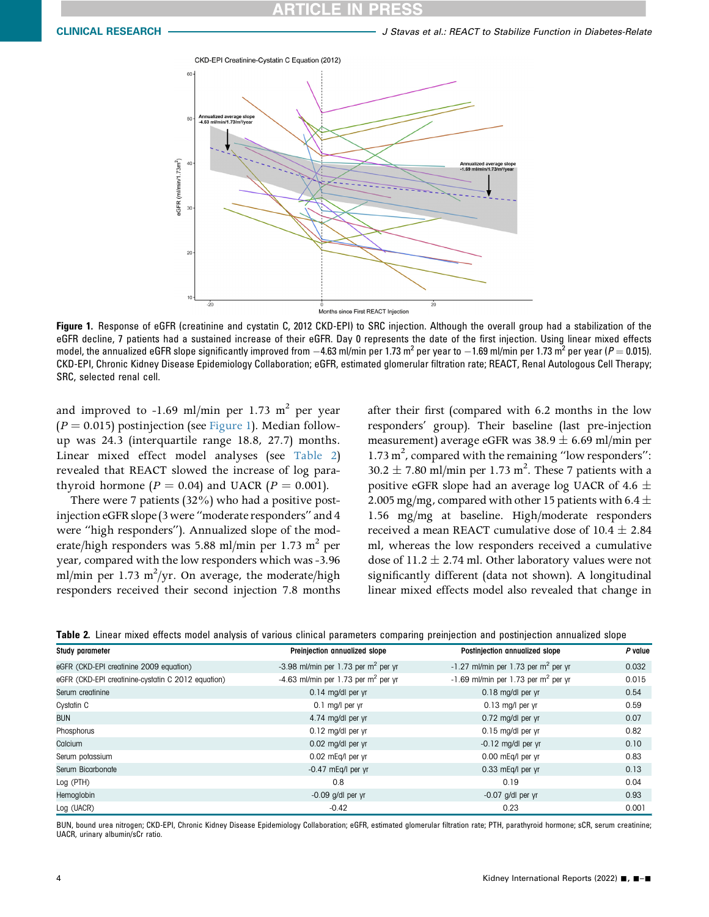<span id="page-3-0"></span>

Figure 1. Response of eGFR (creatinine and cystatin C, 2012 CKD-EPI) to SRC injection. Although the overall group had a stabilization of the eGFR decline, 7 patients had a sustained increase of their eGFR. Day 0 represents the date of the first injection. Using linear mixed effects model, the annualized eGFR slope significantly improved from  $-4.63$  ml/min per 1.73 m<sup>2</sup> per year to  $-1.69$  ml/min per 1.73 m<sup>2</sup> per year (P = 0.015). CKD-EPI, Chronic Kidney Disease Epidemiology Collaboration; eGFR, estimated glomerular filtration rate; REACT, Renal Autologous Cell Therapy; SRC, selected renal cell.

and improved to  $-1.69$  ml/min per 1.73 m<sup>2</sup> per year  $(P = 0.015)$  postinjection (see [Figure 1](#page-3-0)). Median followup was 24.3 (interquartile range 18.8, 27.7) months. Linear mixed effect model analyses (see [Table 2\)](#page-3-1) revealed that REACT slowed the increase of log parathyroid hormone ( $P = 0.04$ ) and UACR ( $P = 0.001$ ).

There were 7 patients (32%) who had a positive postinjection eGFR slope (3 were "moderate responders" and 4 were "high responders"). Annualized slope of the moderate/high responders was 5.88 ml/min per 1.73 m<sup>2</sup> per year, compared with the low responders which was -3.96 ml/min per 1.73 m<sup>2</sup>/yr. On average, the moderate/high responders received their second injection 7.8 months

after their first (compared with 6.2 months in the low responders' group). Their baseline (last pre-injection measurement) average eGFR was  $38.9 \pm 6.69$  ml/min per 1.73 m<sup>2</sup>, compared with the remaining "low responders":  $30.2 \pm 7.80$  ml/min per 1.73 m<sup>2</sup>. These 7 patients with a positive eGFR slope had an average log UACR of 4.6  $\pm$ 2.005 mg/mg, compared with other 15 patients with 6.4  $\pm$ 1.56 mg/mg at baseline. High/moderate responders received a mean REACT cumulative dose of  $10.4 \pm 2.84$ ml, whereas the low responders received a cumulative dose of 11.2  $\pm$  2.74 ml. Other laboratory values were not significantly different (data not shown). A longitudinal linear mixed effects model also revealed that change in

<span id="page-3-1"></span>

| Study parameter                                    | Preinjection annualized slope                   | Postinjection annualized slope                    | P value |
|----------------------------------------------------|-------------------------------------------------|---------------------------------------------------|---------|
| eGFR (CKD-EPI creatinine 2009 equation)            | -3.98 ml/min per 1.73 per $m2$ per yr           | $-1.27$ ml/min per 1.73 per m <sup>2</sup> per yr | 0.032   |
| eGFR (CKD-EPI creatinine-cystatin C 2012 equation) | -4.63 ml/min per 1.73 per m <sup>2</sup> per yr | $-1.69$ ml/min per 1.73 per m <sup>2</sup> per yr | 0.015   |
| Serum creatinine                                   | 0.14 mg/dl per yr                               | 0.18 mg/dl per yr                                 | 0.54    |
| Cystatin C                                         | 0.1 mg/l per yr                                 | $0.13$ mg/l per yr                                | 0.59    |
| <b>BUN</b>                                         | 4.74 mg/dl per yr                               | 0.72 mg/dl per yr                                 | 0.07    |
| Phosphorus                                         | 0.12 mg/dl per yr                               | 0.15 mg/dl per yr                                 | 0.82    |
| Calcium                                            | 0.02 mg/dl per yr                               | $-0.12$ mg/dl per yr                              | 0.10    |
| Serum potassium                                    | 0.02 mEq/l per yr                               | 0.00 mEg/l per yr                                 | 0.83    |
| Serum Bicarbonate                                  | $-0.47$ mEq/l per yr                            | 0.33 mEq/l per yr                                 | 0.13    |
| Log (PTH)                                          | 0.8                                             | 0.19                                              | 0.04    |
| Hemoglobin                                         | $-0.09$ g/dl per yr                             | $-0.07$ g/dl per yr                               | 0.93    |
| Log (UACR)                                         | $-0.42$                                         | 0.23                                              | 0.001   |

BUN, bound urea nitrogen; CKD-EPI, Chronic Kidney Disease Epidemiology Collaboration; eGFR, estimated glomerular filtration rate; PTH, parathyroid hormone; sCR, serum creatinine; UACR, urinary albumin/sCr ratio.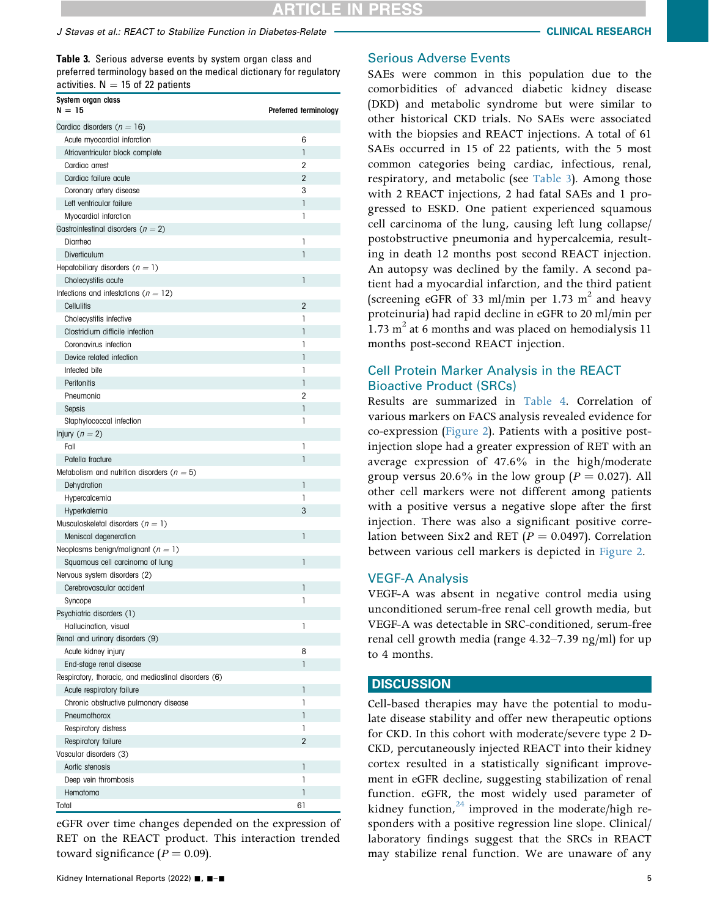<span id="page-4-0"></span>Table 3. Serious adverse events by system organ class and preferred terminology based on the medical dictionary for regulatory activities.  $N = 15$  of 22 patients

| System organ class<br>$N = 15$                       | Preferred terminology |
|------------------------------------------------------|-----------------------|
| Cardiac disorders ( $n = 16$ )                       |                       |
| Acute myocardial infarction                          | 6                     |
| Atrioventricular block complete                      | $\mathbf{1}$          |
| Cardiac arrest                                       | 2                     |
| Cardiac failure acute                                | $\overline{2}$        |
| Coronary artery disease                              | 3                     |
| Left ventricular failure                             | 1                     |
| Myocardial infarction                                | 1                     |
| Gastrointestinal disorders ( $n = 2$ )               |                       |
| Diarrhea                                             | 1                     |
| Diverticulum                                         | 1                     |
| Hepatobiliary disorders $(n = 1)$                    |                       |
| Cholecystitis acute                                  | 1                     |
| Infections and infestations ( $n = 12$ )             |                       |
| Cellulitis                                           | $\overline{2}$        |
| Cholecystitis infective                              | 1                     |
| Clostridium difficile infection                      | 1                     |
| Coronavirus infection                                | 1                     |
| Device related infection                             | 1                     |
| Infected bite                                        | 1                     |
| Peritonitis                                          | $\mathbf{I}$          |
| Pneumonia                                            | $\overline{2}$        |
| Sepsis                                               | 1                     |
| Staphylococcal infection                             | 1                     |
| Injury ( $n = 2$ )                                   |                       |
| Fall                                                 | 1                     |
| Patella fracture                                     | 1                     |
| Metabolism and nutrition disorders ( $n = 5$ )       |                       |
| Dehydration                                          | $\mathbf{1}$          |
| Hypercalcemia                                        | 1                     |
| Hyperkalemia                                         | 3                     |
| Musculoskeletal disorders $(n = 1)$                  |                       |
| Meniscal degeneration                                | 1                     |
| Neoplasms benign/malignant ( $n = 1$ )               |                       |
| Squamous cell carcinoma of lung                      | 1                     |
| Nervous system disorders (2)                         |                       |
| Cerebrovascular accident                             | 1                     |
| Syncope                                              | 1                     |
| Psychiatric disorders (1)                            |                       |
| Hallucination, visual                                | 1                     |
| Renal and urinary disorders (9)                      |                       |
| Acute kidney injury                                  | 8                     |
| End-stage renal disease                              | $\mathbf{1}$          |
| Respiratory, thoracic, and mediastinal disorders (6) |                       |
| Acute respiratory failure                            | 1                     |
| Chronic obstructive pulmonary disease                | 1                     |
| Pneumothorax                                         | 1                     |
| Respiratory distress                                 | 1                     |
| Respiratory failure                                  | $\overline{2}$        |
| Vascular disorders (3)                               |                       |
| Aortic stenosis                                      | 1                     |
| Deep vein thrombosis                                 | 1                     |
| Hematoma                                             | 1                     |
| Total                                                | 61                    |

eGFR over time changes depended on the expression of RET on the REACT product. This interaction trended toward significance  $(P = 0.09)$ .

#### Serious Adverse Events

SAEs were common in this population due to the comorbidities of advanced diabetic kidney disease (DKD) and metabolic syndrome but were similar to other historical CKD trials. No SAEs were associated with the biopsies and REACT injections. A total of 61 SAEs occurred in 15 of 22 patients, with the 5 most common categories being cardiac, infectious, renal, respiratory, and metabolic (see [Table 3\)](#page-4-0). Among those with 2 REACT injections, 2 had fatal SAEs and 1 progressed to ESKD. One patient experienced squamous cell carcinoma of the lung, causing left lung collapse/ postobstructive pneumonia and hypercalcemia, resulting in death 12 months post second REACT injection. An autopsy was declined by the family. A second patient had a myocardial infarction, and the third patient (screening eGFR of 33 ml/min per 1.73 m<sup>2</sup> and heavy proteinuria) had rapid decline in eGFR to 20 ml/min per 1.73  $m^2$  at 6 months and was placed on hemodialysis 11 months post-second REACT injection.

# Cell Protein Marker Analysis in the REACT Bioactive Product (SRCs)

Results are summarized in [Table 4.](#page-5-0) Correlation of various markers on FACS analysis revealed evidence for co-expression ([Figure 2\)](#page-5-1). Patients with a positive postinjection slope had a greater expression of RET with an average expression of 47.6% in the high/moderate group versus 20.6% in the low group ( $P = 0.027$ ). All other cell markers were not different among patients with a positive versus a negative slope after the first injection. There was also a significant positive correlation between Six2 and RET ( $P = 0.0497$ ). Correlation between various cell markers is depicted in [Figure 2.](#page-5-1)

#### VEGF-A Analysis

VEGF-A was absent in negative control media using unconditioned serum-free renal cell growth media, but VEGF-A was detectable in SRC-conditioned, serum-free renal cell growth media (range 4.32–7.39 ng/ml) for up to 4 months.

#### **DISCUSSION**

Cell-based therapies may have the potential to modulate disease stability and offer new therapeutic options for CKD. In this cohort with moderate/severe type 2 D-CKD, percutaneously injected REACT into their kidney cortex resulted in a statistically significant improvement in eGFR decline, suggesting stabilization of renal function. eGFR, the most widely used parameter of kidney function, $24$  improved in the moderate/high responders with a positive regression line slope. Clinical/ laboratory findings suggest that the SRCs in REACT may stabilize renal function. We are unaware of any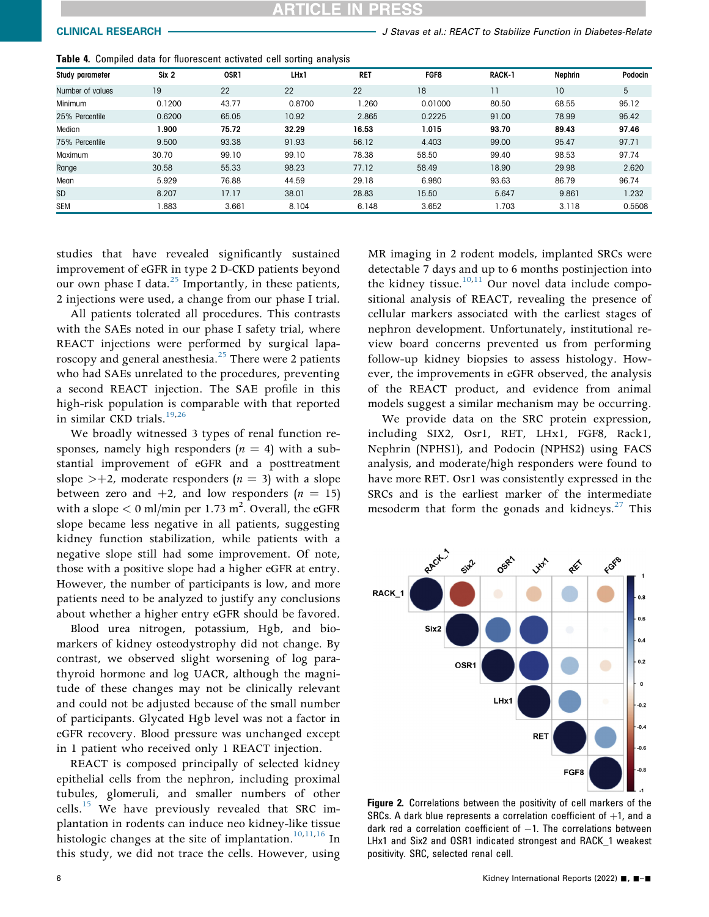CLINICAL RESEARCH **CHARGE ARTICLE STATES IN STAVAL ARTICLE IN STATE OF STABILIZE Function in Diabetes-Relate** 

| Study parameter  | Six 2  | OSR <sub>1</sub> | LHx1   | <b>RET</b> | <b>FGF8</b> | RACK-1         | Nephrin | Podocin |
|------------------|--------|------------------|--------|------------|-------------|----------------|---------|---------|
| Number of values | 19     | 22               | 22     | 22         | 18          | $\overline{1}$ | 10      | 5       |
| Minimum          | 0.1200 | 43.77            | 0.8700 | .260       | 0.01000     | 80.50          | 68.55   | 95.12   |
| 25% Percentile   | 0.6200 | 65.05            | 10.92  | 2.865      | 0.2225      | 91.00          | 78.99   | 95.42   |
| Median           | 900.   | 75.72            | 32.29  | 16.53      | 1.015       | 93.70          | 89.43   | 97.46   |
| 75% Percentile   | 9.500  | 93.38            | 91.93  | 56.12      | 4.403       | 99.00          | 95.47   | 97.71   |
| Maximum          | 30.70  | 99.10            | 99.10  | 78.38      | 58.50       | 99.40          | 98.53   | 97.74   |
| Range            | 30.58  | 55.33            | 98.23  | 77.12      | 58.49       | 18.90          | 29.98   | 2.620   |
| Mean             | 5.929  | 76.88            | 44.59  | 29.18      | 6.980       | 93.63          | 86.79   | 96.74   |
| <b>SD</b>        | 8.207  | 17.17            | 38.01  | 28.83      | 15.50       | 5.647          | 9.861   | 1.232   |
| <b>SEM</b>       | .883   | 3.661            | 8.104  | 6.148      | 3.652       | 1.703          | 3.118   | 0.5508  |

<span id="page-5-0"></span>Table 4. Compiled data for fluorescent activated cell sorting analysis

studies that have revealed significantly sustained improvement of eGFR in type 2 D-CKD patients beyond our own phase I data. $^{25}$  $^{25}$  $^{25}$  Importantly, in these patients, 2 injections were used, a change from our phase I trial.

All patients tolerated all procedures. This contrasts with the SAEs noted in our phase I safety trial, where REACT injections were performed by surgical laparoscopy and general anesthesia.<sup>25</sup> There were 2 patients who had SAEs unrelated to the procedures, preventing a second REACT injection. The SAE profile in this high-risk population is comparable with that reported in similar CKD trials.<sup>19,[26](#page-9-8)</sup>

We broadly witnessed 3 types of renal function responses, namely high responders ( $n = 4$ ) with a substantial improvement of eGFR and a posttreatment slope  $\geq +2$ , moderate responders (*n* = 3) with a slope between zero and  $+2$ , and low responders ( $n = 15$ ) with a slope  $<$  0 ml/min per 1.73 m<sup>2</sup>. Overall, the eGFR slope became less negative in all patients, suggesting kidney function stabilization, while patients with a negative slope still had some improvement. Of note, those with a positive slope had a higher eGFR at entry. However, the number of participants is low, and more patients need to be analyzed to justify any conclusions about whether a higher entry eGFR should be favored.

Blood urea nitrogen, potassium, Hgb, and biomarkers of kidney osteodystrophy did not change. By contrast, we observed slight worsening of log parathyroid hormone and log UACR, although the magnitude of these changes may not be clinically relevant and could not be adjusted because of the small number of participants. Glycated Hgb level was not a factor in eGFR recovery. Blood pressure was unchanged except in 1 patient who received only 1 REACT injection.

REACT is composed principally of selected kidney epithelial cells from the nephron, including proximal tubules, glomeruli, and smaller numbers of other cells. $15$  We have previously revealed that SRC implantation in rodents can induce neo kidney-like tissue histologic changes at the site of implantation.<sup>[10](#page-8-9)[,11](#page-8-10)[,16](#page-8-13)</sup> In this study, we did not trace the cells. However, using MR imaging in 2 rodent models, implanted SRCs were detectable 7 days and up to 6 months postinjection into the kidney tissue.<sup>10[,11](#page-8-10)</sup> Our novel data include compositional analysis of REACT, revealing the presence of cellular markers associated with the earliest stages of nephron development. Unfortunately, institutional review board concerns prevented us from performing follow-up kidney biopsies to assess histology. However, the improvements in eGFR observed, the analysis of the REACT product, and evidence from animal models suggest a similar mechanism may be occurring.

We provide data on the SRC protein expression, including SIX2, Osr1, RET, LHx1, FGF8, Rack1, Nephrin (NPHS1), and Podocin (NPHS2) using FACS analysis, and moderate/high responders were found to have more RET. Osr1 was consistently expressed in the SRCs and is the earliest marker of the intermediate mesoderm that form the gonads and kidneys. $27$  This

<span id="page-5-1"></span>

Figure 2. Correlations between the positivity of cell markers of the SRCs. A dark blue represents a correlation coefficient of  $+1$ , and a dark red a correlation coefficient of  $-1$ . The correlations between LHx1 and Six2 and OSR1 indicated strongest and RACK\_1 weakest positivity. SRC, selected renal cell.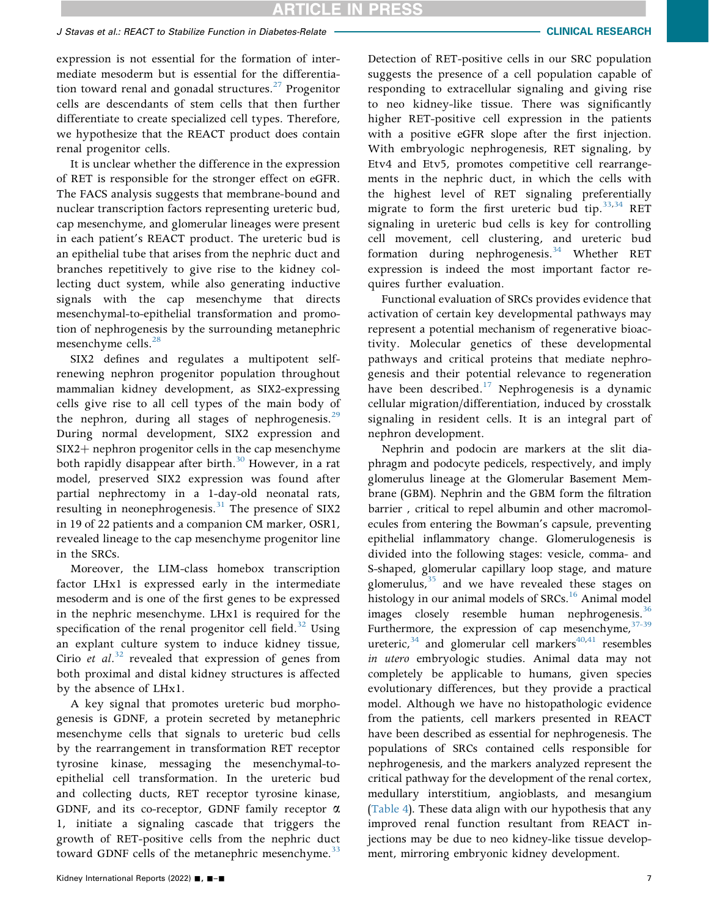### J Stavas et al.: REACT to Stabilize Function in Diabetes-Relate CLINICAL RESEARCH

expression is not essential for the formation of intermediate mesoderm but is essential for the differentiation toward renal and gonadal structures. $27$  Progenitor cells are descendants of stem cells that then further differentiate to create specialized cell types. Therefore, we hypothesize that the REACT product does contain renal progenitor cells.

It is unclear whether the difference in the expression of RET is responsible for the stronger effect on eGFR. The FACS analysis suggests that membrane-bound and nuclear transcription factors representing ureteric bud, cap mesenchyme, and glomerular lineages were present in each patient's REACT product. The ureteric bud is an epithelial tube that arises from the nephric duct and branches repetitively to give rise to the kidney collecting duct system, while also generating inductive signals with the cap mesenchyme that directs mesenchymal-to-epithelial transformation and promotion of nephrogenesis by the surrounding metanephric mesenchyme cells.<sup>28</sup>

SIX2 defines and regulates a multipotent selfrenewing nephron progenitor population throughout mammalian kidney development, as SIX2-expressing cells give rise to all cell types of the main body of the nephron, during all stages of nephrogenesis. $29$ During normal development, SIX2 expression and SIX2+ nephron progenitor cells in the cap mesenchyme both rapidly disappear after birth.<sup>[30](#page-9-12)</sup> However, in a rat model, preserved SIX2 expression was found after partial nephrectomy in a 1-day-old neonatal rats, resulting in neonephrogenesis. $31$  The presence of SIX2 in 19 of 22 patients and a companion CM marker, OSR1, revealed lineage to the cap mesenchyme progenitor line in the SRCs.

Moreover, the LIM-class homebox transcription factor LHx1 is expressed early in the intermediate mesoderm and is one of the first genes to be expressed in the nephric mesenchyme. LHx1 is required for the specification of the renal progenitor cell field. $32$  Using an explant culture system to induce kidney tissue, Cirio et  $al^{32}$  $al^{32}$  $al^{32}$  revealed that expression of genes from both proximal and distal kidney structures is affected by the absence of LHx1.

A key signal that promotes ureteric bud morphogenesis is GDNF, a protein secreted by metanephric mesenchyme cells that signals to ureteric bud cells by the rearrangement in transformation RET receptor tyrosine kinase, messaging the mesenchymal-toepithelial cell transformation. In the ureteric bud and collecting ducts, RET receptor tyrosine kinase, GDNF, and its co-receptor, GDNF family receptor  $\alpha$ 1, initiate a signaling cascade that triggers the growth of RET-positive cells from the nephric duct toward GDNF cells of the metanephric mesenchyme.<sup>33</sup>

Detection of RET-positive cells in our SRC population suggests the presence of a cell population capable of responding to extracellular signaling and giving rise to neo kidney-like tissue. There was significantly higher RET-positive cell expression in the patients with a positive eGFR slope after the first injection. With embryologic nephrogenesis, RET signaling, by Etv4 and Etv5, promotes competitive cell rearrangements in the nephric duct, in which the cells with the highest level of RET signaling preferentially migrate to form the first ureteric bud tip.  $33,34$  $33,34$  RET signaling in ureteric bud cells is key for controlling cell movement, cell clustering, and ureteric bud formation during nephrogenesis.<sup>34</sup> Whether RET expression is indeed the most important factor requires further evaluation.

Functional evaluation of SRCs provides evidence that activation of certain key developmental pathways may represent a potential mechanism of regenerative bioactivity. Molecular genetics of these developmental pathways and critical proteins that mediate nephrogenesis and their potential relevance to regeneration have been described.<sup>17</sup> Nephrogenesis is a dynamic cellular migration/differentiation, induced by crosstalk signaling in resident cells. It is an integral part of nephron development.

Nephrin and podocin are markers at the slit diaphragm and podocyte pedicels, respectively, and imply glomerulus lineage at the Glomerular Basement Membrane (GBM). Nephrin and the GBM form the filtration barrier , critical to repel albumin and other macromolecules from entering the Bowman's capsule, preventing epithelial inflammatory change. Glomerulogenesis is divided into the following stages: vesicle, comma- and S-shaped, glomerular capillary loop stage, and mature glomerulus, $35$  and we have revealed these stages on histology in our animal models of SRCs.<sup>16</sup> Animal model images closely resemble human nephrogenesis. $36$ Furthermore, the expression of cap mesenchyme,  $37-39$ ureteric,  $34$  and glomerular cell markers<sup>[40](#page-9-20)[,41](#page-9-21)</sup> resembles in utero embryologic studies. Animal data may not completely be applicable to humans, given species evolutionary differences, but they provide a practical model. Although we have no histopathologic evidence from the patients, cell markers presented in REACT have been described as essential for nephrogenesis. The populations of SRCs contained cells responsible for nephrogenesis, and the markers analyzed represent the critical pathway for the development of the renal cortex, medullary interstitium, angioblasts, and mesangium ([Table 4\)](#page-5-0). These data align with our hypothesis that any improved renal function resultant from REACT injections may be due to neo kidney-like tissue development, mirroring embryonic kidney development.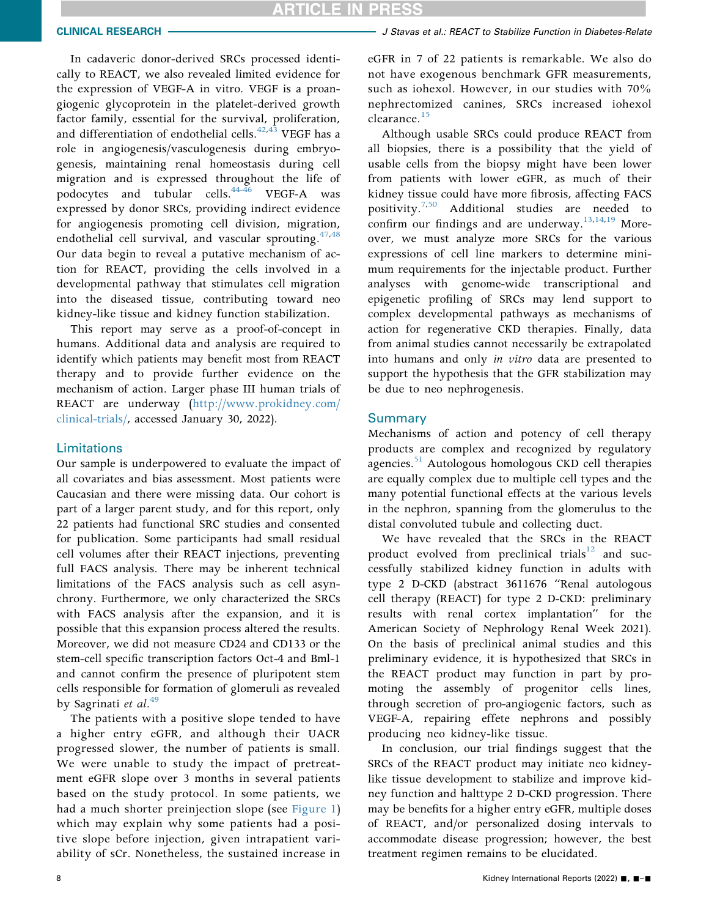In cadaveric donor-derived SRCs processed identically to REACT, we also revealed limited evidence for the expression of VEGF-A in vitro. VEGF is a proangiogenic glycoprotein in the platelet-derived growth factor family, essential for the survival, proliferation, and differentiation of endothelial cells.<sup>[42,](#page-9-22)[43](#page-9-23)</sup> VEGF has a role in angiogenesis/vasculogenesis during embryogenesis, maintaining renal homeostasis during cell migration and is expressed throughout the life of podocytes and tubular cells. $44-46$  VEGF-A was expressed by donor SRCs, providing indirect evidence for angiogenesis promoting cell division, migration, endothelial cell survival, and vascular sprouting.  $47,48$  $47,48$ Our data begin to reveal a putative mechanism of action for REACT, providing the cells involved in a developmental pathway that stimulates cell migration into the diseased tissue, contributing toward neo kidney-like tissue and kidney function stabilization.

This report may serve as a proof-of-concept in humans. Additional data and analysis are required to identify which patients may benefit most from REACT therapy and to provide further evidence on the mechanism of action. Larger phase III human trials of REACT are underway [\(http://www.prokidney.com/](http://www.prokidney.com/clinical-trials/) [clinical-trials/,](http://www.prokidney.com/clinical-trials/) accessed January 30, 2022).

#### **Limitations**

Our sample is underpowered to evaluate the impact of all covariates and bias assessment. Most patients were Caucasian and there were missing data. Our cohort is part of a larger parent study, and for this report, only 22 patients had functional SRC studies and consented for publication. Some participants had small residual cell volumes after their REACT injections, preventing full FACS analysis. There may be inherent technical limitations of the FACS analysis such as cell asynchrony. Furthermore, we only characterized the SRCs with FACS analysis after the expansion, and it is possible that this expansion process altered the results. Moreover, we did not measure CD24 and CD133 or the stem-cell specific transcription factors Oct-4 and Bml-1 and cannot confirm the presence of pluripotent stem cells responsible for formation of glomeruli as revealed by Sagrinati et al. $49$ 

The patients with a positive slope tended to have a higher entry eGFR, and although their UACR progressed slower, the number of patients is small. We were unable to study the impact of pretreatment eGFR slope over 3 months in several patients based on the study protocol. In some patients, we had a much shorter preinjection slope (see [Figure 1\)](#page-3-0) which may explain why some patients had a positive slope before injection, given intrapatient variability of sCr. Nonetheless, the sustained increase in

#### CLINICAL RESEARCH **CHARGE AREACH AREACT IN STAVAS** et al.: REACT to Stabilize Function in Diabetes-Relate

eGFR in 7 of 22 patients is remarkable. We also do not have exogenous benchmark GFR measurements, such as iohexol. However, in our studies with 70% nephrectomized canines, SRCs increased iohexol clearance.<sup>[15](#page-8-12)</sup>

Although usable SRCs could produce REACT from all biopsies, there is a possibility that the yield of usable cells from the biopsy might have been lower from patients with lower eGFR, as much of their kidney tissue could have more fibrosis, affecting FACS positivity.<sup>[7,](#page-8-6)[50](#page-10-3)</sup> Additional studies are needed to confirm our findings and are underway.  $^{13,14,19}$  $^{13,14,19}$  $^{13,14,19}$  $^{13,14,19}$  $^{13,14,19}$  Moreover, we must analyze more SRCs for the various expressions of cell line markers to determine minimum requirements for the injectable product. Further analyses with genome-wide transcriptional and epigenetic profiling of SRCs may lend support to complex developmental pathways as mechanisms of action for regenerative CKD therapies. Finally, data from animal studies cannot necessarily be extrapolated into humans and only in vitro data are presented to support the hypothesis that the GFR stabilization may be due to neo nephrogenesis.

#### **Summary**

Mechanisms of action and potency of cell therapy products are complex and recognized by regulatory agencies.<sup>[51](#page-10-4)</sup> Autologous homologous CKD cell therapies are equally complex due to multiple cell types and the many potential functional effects at the various levels in the nephron, spanning from the glomerulus to the distal convoluted tubule and collecting duct.

We have revealed that the SRCs in the REACT product evolved from preclinical trials $12$  and successfully stabilized kidney function in adults with type 2 D-CKD (abstract 3611676 "Renal autologous cell therapy (REACT) for type 2 D-CKD: preliminary results with renal cortex implantation" for the American Society of Nephrology Renal Week 2021). On the basis of preclinical animal studies and this preliminary evidence, it is hypothesized that SRCs in the REACT product may function in part by promoting the assembly of progenitor cells lines, through secretion of pro-angiogenic factors, such as VEGF-A, repairing effete nephrons and possibly producing neo kidney-like tissue.

In conclusion, our trial findings suggest that the SRCs of the REACT product may initiate neo kidneylike tissue development to stabilize and improve kidney function and halttype 2 D-CKD progression. There may be benefits for a higher entry eGFR, multiple doses of REACT, and/or personalized dosing intervals to accommodate disease progression; however, the best treatment regimen remains to be elucidated.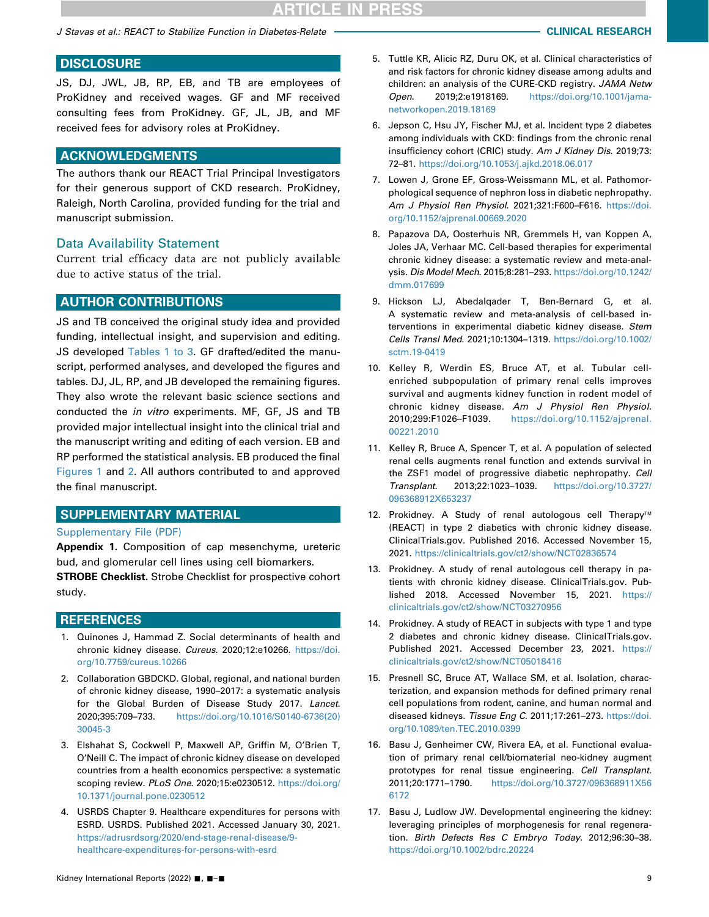J Stavas et al.: REACT to Stabilize Function in Diabetes-Relate CLINICAL RESEARCH

# **DISCLOSURE**

JS, DJ, JWL, JB, RP, EB, and TB are employees of ProKidney and received wages. GF and MF received consulting fees from ProKidney. GF, JL, JB, and MF received fees for advisory roles at ProKidney.

#### ACKNOWLEDGMENTS

The authors thank our REACT Trial Principal Investigators for their generous support of CKD research. ProKidney, Raleigh, North Carolina, provided funding for the trial and manuscript submission.

#### Data Availability Statement

Current trial efficacy data are not publicly available due to active status of the trial.

### AUTHOR CONTRIBUTIONS

JS and TB conceived the original study idea and provided funding, intellectual insight, and supervision and editing. JS developed [Tables 1 to 3.](#page-2-0) GF drafted/edited the manuscript, performed analyses, and developed the figures and tables. DJ, JL, RP, and JB developed the remaining figures. They also wrote the relevant basic science sections and conducted the in vitro experiments. MF, GF, JS and TB provided major intellectual insight into the clinical trial and the manuscript writing and editing of each version. EB and RP performed the statistical analysis. EB produced the final [Figures 1](#page-3-0) and [2.](#page-5-1) All authors contributed to and approved the final manuscript.

### SUPPLEMENTARY MATERIAL

#### [Supplementary File \(PDF\)](https://doi.org/10.1016/j.ekir.2022.04.014)

Appendix 1. Composition of cap mesenchyme, ureteric bud, and glomerular cell lines using cell biomarkers.

**STROBE Checklist.** Strobe Checklist for prospective cohort study.

#### **REFERENCES**

- <span id="page-8-0"></span>1. Quinones J, Hammad Z. Social determinants of health and chronic kidney disease. Cureus. 2020;12:e10266. [https://doi.](https://doi.org/10.7759/cureus.10266) [org/10.7759/cureus.10266](https://doi.org/10.7759/cureus.10266)
- <span id="page-8-1"></span>2. Collaboration GBDCKD. Global, regional, and national burden of chronic kidney disease, 1990–2017: a systematic analysis for the Global Burden of Disease Study 2017. Lancet. 2020;395:709–733. [https://doi.org/10.1016/S0140-6736\(20\)](https://doi.org/10.1016/S0140-6736(20)30045-3) [30045-3](https://doi.org/10.1016/S0140-6736(20)30045-3)
- <span id="page-8-2"></span>3. Elshahat S, Cockwell P, Maxwell AP, Griffin M, O'Brien T, O'Neill C. The impact of chronic kidney disease on developed countries from a health economics perspective: a systematic scoping review. PLoS One. 2020;15:e0230512. [https://doi.org/](https://doi.org/10.1371/journal.pone.0230512) [10.1371/journal.pone.0230512](https://doi.org/10.1371/journal.pone.0230512)
- <span id="page-8-3"></span>4. USRDS Chapter 9. Healthcare expenditures for persons with ESRD. USRDS. Published 2021. Accessed January 30, 2021. [https://adrusrdsorg/2020/end-stage-renal-disease/9](https://adrusrdsorg/2020/end-stage-renal-disease/9-healthcare-expenditures-for-persons-with-esrd) [healthcare-expenditures-for-persons-with-esrd](https://adrusrdsorg/2020/end-stage-renal-disease/9-healthcare-expenditures-for-persons-with-esrd)
- <span id="page-8-4"></span>5. Tuttle KR, Alicic RZ, Duru OK, et al. Clinical characteristics of and risk factors for chronic kidney disease among adults and children: an analysis of the CURE-CKD registry. JAMA Netw Open. 2019;2:e1918169. [https://doi.org/10.1001/jama](https://doi.org/10.1001/jamanetworkopen.2019.18169)[networkopen.2019.18169](https://doi.org/10.1001/jamanetworkopen.2019.18169)
- <span id="page-8-5"></span>6. Jepson C, Hsu JY, Fischer MJ, et al. Incident type 2 diabetes among individuals with CKD: findings from the chronic renal insufficiency cohort (CRIC) study. Am J Kidney Dis. 2019;73: 72–81. <https://doi.org/10.1053/j.ajkd.2018.06.017>
- <span id="page-8-6"></span>7. Lowen J, Grone EF, Gross-Weissmann ML, et al. Pathomorphological sequence of nephron loss in diabetic nephropathy. Am J Physiol Ren Physiol. 2021;321:F600–F616. [https://doi.](https://doi.org/10.1152/ajprenal.00669.2020) [org/10.1152/ajprenal.00669.2020](https://doi.org/10.1152/ajprenal.00669.2020)
- <span id="page-8-7"></span>8. Papazova DA, Oosterhuis NR, Gremmels H, van Koppen A, Joles JA, Verhaar MC. Cell-based therapies for experimental chronic kidney disease: a systematic review and meta-analysis. Dis Model Mech. 2015;8:281–293. [https://doi.org/10.1242/](https://doi.org/10.1242/dmm.017699) [dmm.017699](https://doi.org/10.1242/dmm.017699)
- <span id="page-8-8"></span>9. Hickson LJ, Abedalqader T, Ben-Bernard G, et al. A systematic review and meta-analysis of cell-based interventions in experimental diabetic kidney disease. Stem Cells Transl Med. 2021;10:1304–1319. [https://doi.org/10.1002/](https://doi.org/10.1002/sctm.19-0419) [sctm.19-0419](https://doi.org/10.1002/sctm.19-0419)
- <span id="page-8-9"></span>10. Kelley R, Werdin ES, Bruce AT, et al. Tubular cellenriched subpopulation of primary renal cells improves survival and augments kidney function in rodent model of chronic kidney disease. Am J Physiol Ren Physiol. 2010;299:F1026–F1039. [https://doi.org/10.1152/ajprenal.](https://doi.org/10.1152/ajprenal.00221.2010) [00221.2010](https://doi.org/10.1152/ajprenal.00221.2010)
- <span id="page-8-10"></span>11. Kelley R, Bruce A, Spencer T, et al. A population of selected renal cells augments renal function and extends survival in the ZSF1 model of progressive diabetic nephropathy. Cell Transplant. 2013;22:1023–1039. [https://doi.org/10.3727/](https://doi.org/10.3727/096368912X653237) [096368912X653237](https://doi.org/10.3727/096368912X653237)
- <span id="page-8-11"></span>12. Prokidney. A Study of renal autologous cell Therapy<sup>™</sup> (REACT) in type 2 diabetics with chronic kidney disease. ClinicalTrials.gov. Published 2016. Accessed November 15, 2021. <https://clinicaltrials.gov/ct2/show/NCT02836574>
- <span id="page-8-15"></span>13. Prokidney. A study of renal autologous cell therapy in patients with chronic kidney disease. ClinicalTrials.gov. Published 2018. Accessed November 15, 2021. [https://](https://clinicaltrials.gov/ct2/show/NCT03270956) [clinicaltrials.gov/ct2/show/NCT03270956](https://clinicaltrials.gov/ct2/show/NCT03270956)
- <span id="page-8-16"></span>14. Prokidney. A study of REACT in subjects with type 1 and type 2 diabetes and chronic kidney disease. ClinicalTrials.gov. Published 2021. Accessed December 23, 2021. [https://](https://clinicaltrials.gov/ct2/show/NCT05018416) [clinicaltrials.gov/ct2/show/NCT05018416](https://clinicaltrials.gov/ct2/show/NCT05018416)
- <span id="page-8-12"></span>15. Presnell SC, Bruce AT, Wallace SM, et al. Isolation, characterization, and expansion methods for defined primary renal cell populations from rodent, canine, and human normal and diseased kidneys. Tissue Eng C. 2011;17:261-273. [https://doi.](https://doi.org/10.1089/ten.TEC.2010.0399) [org/10.1089/ten.TEC.2010.0399](https://doi.org/10.1089/ten.TEC.2010.0399)
- <span id="page-8-13"></span>16. Basu J, Genheimer CW, Rivera EA, et al. Functional evaluation of primary renal cell/biomaterial neo-kidney augment prototypes for renal tissue engineering. Cell Transplant. 2011;20:1771–1790. [https://doi.org/10.3727/096368911X56](https://doi.org/10.3727/096368911X566172) [6172](https://doi.org/10.3727/096368911X566172)
- <span id="page-8-14"></span>17. Basu J, Ludlow JW. Developmental engineering the kidney: leveraging principles of morphogenesis for renal regeneration. Birth Defects Res C Embryo Today. 2012;96:30–38. <https://doi.org/10.1002/bdrc.20224>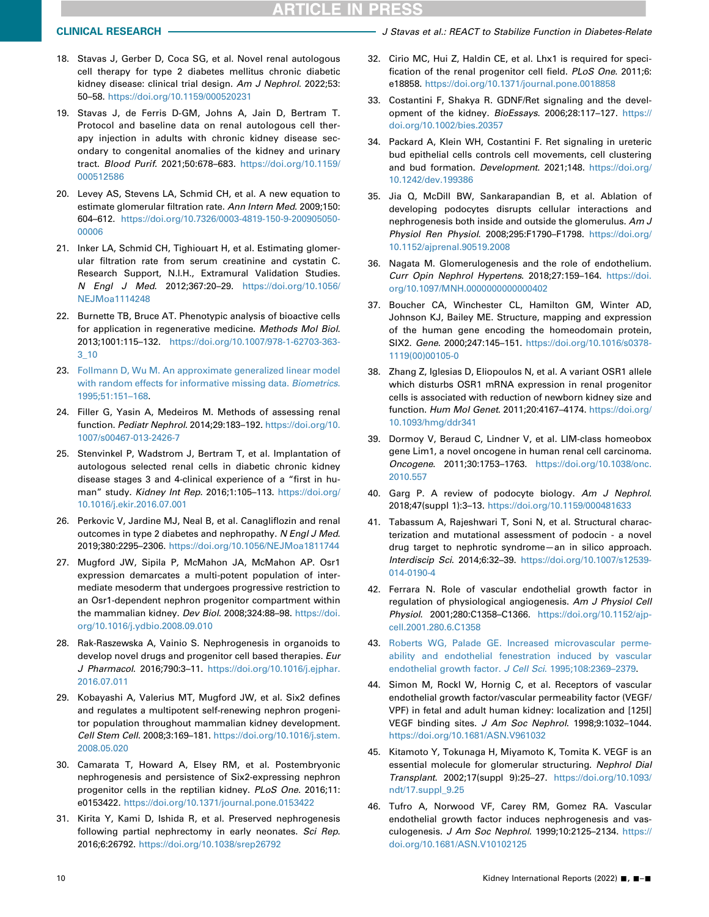- <span id="page-9-14"></span><span id="page-9-0"></span>18. Stavas J, Gerber D, Coca SG, et al. Novel renal autologous cell therapy for type 2 diabetes mellitus chronic diabetic kidney disease: clinical trial design. Am J Nephrol. 2022;53: 50–58. <https://doi.org/10.1159/000520231>
- <span id="page-9-16"></span><span id="page-9-15"></span><span id="page-9-1"></span>19. Stavas J, de Ferris D-GM, Johns A, Jain D, Bertram T. Protocol and baseline data on renal autologous cell therapy injection in adults with chronic kidney disease secondary to congenital anomalies of the kidney and urinary tract. Blood Purif. 2021;50:678–683. [https://doi.org/10.1159/](https://doi.org/10.1159/000512586) [000512586](https://doi.org/10.1159/000512586)
- <span id="page-9-17"></span><span id="page-9-2"></span>20. Levey AS, Stevens LA, Schmid CH, et al. A new equation to estimate glomerular filtration rate. Ann Intern Med. 2009;150: 604–612. [https://doi.org/10.7326/0003-4819-150-9-200905050-](https://doi.org/10.7326/0003-4819-150-9-200905050-00006) [00006](https://doi.org/10.7326/0003-4819-150-9-200905050-00006)
- <span id="page-9-18"></span><span id="page-9-3"></span>21. Inker LA, Schmid CH, Tighiouart H, et al. Estimating glomerular filtration rate from serum creatinine and cystatin C. Research Support, N.I.H., Extramural Validation Studies. N Engl J Med. 2012;367:20–29. [https://doi.org/10.1056/](https://doi.org/10.1056/NEJMoa1114248) [NEJMoa1114248](https://doi.org/10.1056/NEJMoa1114248)
- <span id="page-9-19"></span><span id="page-9-4"></span>22. Burnette TB, Bruce AT. Phenotypic analysis of bioactive cells for application in regenerative medicine. Methods Mol Biol. 2013;1001:115–132. [https://doi.org/10.1007/978-1-62703-363-](https://doi.org/10.1007/978-1-62703-363-3_10) [3\\_10](https://doi.org/10.1007/978-1-62703-363-3_10)
- <span id="page-9-5"></span>23. [Follmann D, Wu M. An approximate generalized linear model](http://refhub.elsevier.com/S2468-0249(22)01291-8/sref23) [with random effects for informative missing data.](http://refhub.elsevier.com/S2468-0249(22)01291-8/sref23) Biometrics. [1995;51:151](http://refhub.elsevier.com/S2468-0249(22)01291-8/sref23)–168.
- <span id="page-9-6"></span>24. Filler G, Yasin A, Medeiros M. Methods of assessing renal function. Pediatr Nephrol. 2014;29:183-192. [https://doi.org/10.](https://doi.org/10.1007/s00467-013-2426-7) [1007/s00467-013-2426-7](https://doi.org/10.1007/s00467-013-2426-7)
- <span id="page-9-7"></span>25. Stenvinkel P, Wadstrom J, Bertram T, et al. Implantation of autologous selected renal cells in diabetic chronic kidney disease stages 3 and 4-clinical experience of a "first in human" study. Kidney Int Rep. 2016;1:105–113. [https://doi.org/](https://doi.org/10.1016/j.ekir.2016.07.001) [10.1016/j.ekir.2016.07.001](https://doi.org/10.1016/j.ekir.2016.07.001)
- <span id="page-9-21"></span><span id="page-9-20"></span><span id="page-9-8"></span>26. Perkovic V, Jardine MJ, Neal B, et al. Canagliflozin and renal outcomes in type 2 diabetes and nephropathy. N Engl J Med. 2019;380:2295–2306. <https://doi.org/10.1056/NEJMoa1811744>
- <span id="page-9-22"></span><span id="page-9-9"></span>27. Mugford JW, Sipila P, McMahon JA, McMahon AP. Osr1 expression demarcates a multi-potent population of intermediate mesoderm that undergoes progressive restriction to an Osr1-dependent nephron progenitor compartment within the mammalian kidney. Dev Biol. 2008;324:88–98. [https://doi.](https://doi.org/10.1016/j.ydbio.2008.09.010) [org/10.1016/j.ydbio.2008.09.010](https://doi.org/10.1016/j.ydbio.2008.09.010)
- <span id="page-9-23"></span><span id="page-9-10"></span>28. Rak-Raszewska A, Vainio S. Nephrogenesis in organoids to develop novel drugs and progenitor cell based therapies. Eur J Pharmacol. 2016;790:3–11. [https://doi.org/10.1016/j.ejphar.](https://doi.org/10.1016/j.ejphar.2016.07.011) [2016.07.011](https://doi.org/10.1016/j.ejphar.2016.07.011)
- <span id="page-9-24"></span><span id="page-9-11"></span>29. Kobayashi A, Valerius MT, Mugford JW, et al. Six2 defines and regulates a multipotent self-renewing nephron progenitor population throughout mammalian kidney development. Cell Stem Cell. 2008;3:169–181. [https://doi.org/10.1016/j.stem.](https://doi.org/10.1016/j.stem.2008.05.020) [2008.05.020](https://doi.org/10.1016/j.stem.2008.05.020)
- <span id="page-9-12"></span>30. Camarata T, Howard A, Elsey RM, et al. Postembryonic nephrogenesis and persistence of Six2-expressing nephron progenitor cells in the reptilian kidney. PLoS One. 2016;11: e0153422. <https://doi.org/10.1371/journal.pone.0153422>
- <span id="page-9-13"></span>31. Kirita Y, Kami D, Ishida R, et al. Preserved nephrogenesis following partial nephrectomy in early neonates. Sci Rep. 2016;6:26792. <https://doi.org/10.1038/srep26792>
- CLINICAL RESEARCH **CLINICAL RESEARCH J** Stavas et al.: REACT to Stabilize Function in Diabetes-Relate
	- 32. Cirio MC, Hui Z, Haldin CE, et al. Lhx1 is required for specification of the renal progenitor cell field. PLoS One. 2011;6: e18858. <https://doi.org/10.1371/journal.pone.0018858>
	- 33. Costantini F, Shakya R. GDNF/Ret signaling and the development of the kidney. BioEssays. 2006;28:117–127. [https://](https://doi.org/10.1002/bies.20357) [doi.org/10.1002/bies.20357](https://doi.org/10.1002/bies.20357)
	- 34. Packard A, Klein WH, Costantini F. Ret signaling in ureteric bud epithelial cells controls cell movements, cell clustering and bud formation. Development. 2021;148. [https://doi.org/](https://doi.org/10.1242/dev.199386) [10.1242/dev.199386](https://doi.org/10.1242/dev.199386)
	- 35. Jia Q, McDill BW, Sankarapandian B, et al. Ablation of developing podocytes disrupts cellular interactions and nephrogenesis both inside and outside the glomerulus. Am J Physiol Ren Physiol. 2008;295:F1790-F1798. [https://doi.org/](https://doi.org/10.1152/ajprenal.90519.2008) [10.1152/ajprenal.90519.2008](https://doi.org/10.1152/ajprenal.90519.2008)
	- 36. Nagata M. Glomerulogenesis and the role of endothelium. Curr Opin Nephrol Hypertens. 2018;27:159-164. [https://doi.](https://doi.org/10.1097/MNH.0000000000000402) [org/10.1097/MNH.0000000000000402](https://doi.org/10.1097/MNH.0000000000000402)
	- 37. Boucher CA, Winchester CL, Hamilton GM, Winter AD, Johnson KJ, Bailey ME. Structure, mapping and expression of the human gene encoding the homeodomain protein, SIX2. Gene. 2000;247:145–151. [https://doi.org/10.1016/s0378-](https://doi.org/10.1016/s0378-1119(00)00105-0) [1119\(00\)00105-0](https://doi.org/10.1016/s0378-1119(00)00105-0)
	- 38. Zhang Z, Iglesias D, Eliopoulos N, et al. A variant OSR1 allele which disturbs OSR1 mRNA expression in renal progenitor cells is associated with reduction of newborn kidney size and function. Hum Mol Genet. 2011;20:4167–4174. [https://doi.org/](https://doi.org/10.1093/hmg/ddr341) [10.1093/hmg/ddr341](https://doi.org/10.1093/hmg/ddr341)
	- 39. Dormoy V, Beraud C, Lindner V, et al. LIM-class homeobox gene Lim1, a novel oncogene in human renal cell carcinoma. Oncogene. 2011;30:1753–1763. [https://doi.org/10.1038/onc.](https://doi.org/10.1038/onc.2010.557) [2010.557](https://doi.org/10.1038/onc.2010.557)
	- 40. Garg P. A review of podocyte biology. Am J Nephrol. 2018;47(suppl 1):3–13. <https://doi.org/10.1159/000481633>
	- 41. Tabassum A, Rajeshwari T, Soni N, et al. Structural characterization and mutational assessment of podocin - a novel drug target to nephrotic syndrome—an in silico approach. Interdiscip Sci. 2014;6:32–39. [https://doi.org/10.1007/s12539-](https://doi.org/10.1007/s12539-014-0190-4) [014-0190-4](https://doi.org/10.1007/s12539-014-0190-4)
	- 42. Ferrara N. Role of vascular endothelial growth factor in regulation of physiological angiogenesis. Am J Physiol Cell Physiol. 2001;280:C1358–C1366. [https://doi.org/10.1152/ajp](https://doi.org/10.1152/ajpcell.2001.280.6.C1358)[cell.2001.280.6.C1358](https://doi.org/10.1152/ajpcell.2001.280.6.C1358)
	- 43. [Roberts WG, Palade GE. Increased microvascular perme](http://refhub.elsevier.com/S2468-0249(22)01291-8/sref43)[ability and endothelial fenestration induced by vascular](http://refhub.elsevier.com/S2468-0249(22)01291-8/sref43) [endothelial growth factor.](http://refhub.elsevier.com/S2468-0249(22)01291-8/sref43) J Cell Sci. 1995;108:2369-2379.
	- 44. Simon M, Rockl W, Hornig C, et al. Receptors of vascular endothelial growth factor/vascular permeability factor (VEGF/ VPF) in fetal and adult human kidney: localization and [125I] VEGF binding sites. J Am Soc Nephrol. 1998;9:1032–1044. <https://doi.org/10.1681/ASN.V961032>
	- 45. Kitamoto Y, Tokunaga H, Miyamoto K, Tomita K. VEGF is an essential molecule for glomerular structuring. Nephrol Dial Transplant. 2002;17(suppl 9):25–27. [https://doi.org/10.1093/](https://doi.org/10.1093/ndt/17.suppl_9.25) [ndt/17.suppl\\_9.25](https://doi.org/10.1093/ndt/17.suppl_9.25)
	- 46. Tufro A, Norwood VF, Carey RM, Gomez RA. Vascular endothelial growth factor induces nephrogenesis and vasculogenesis. J Am Soc Nephrol. 1999;10:2125–2134. [https://](https://doi.org/10.1681/ASN.V10102125) [doi.org/10.1681/ASN.V10102125](https://doi.org/10.1681/ASN.V10102125)